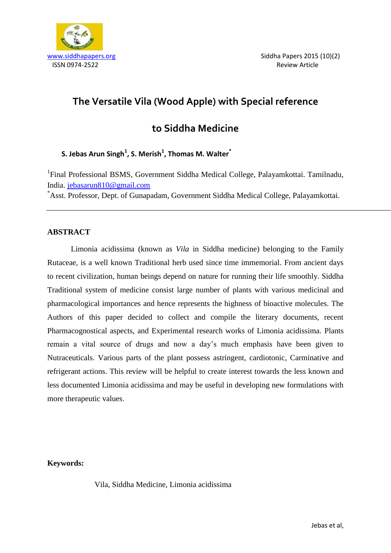

# **The Versatile Vila (Wood Apple) with Special reference**

# **to Siddha Medicine**

# **S. Jebas Arun Singh<sup>1</sup> , S. Merish<sup>1</sup> , Thomas M. Walter\***

<sup>1</sup>Final Professional BSMS, Government Siddha Medical College, Palayamkottai. Tamilnadu, India.<jebasarun810@gmail.com>

\*Asst. Professor, Dept. of Gunapadam, Government Siddha Medical College, Palayamkottai.

## **ABSTRACT**

Limonia acidissima (known as *Vila* in Siddha medicine) belonging to the Family Rutaceae, is a well known Traditional herb used since time immemorial. From ancient days to recent civilization, human beings depend on nature for running their life smoothly. Siddha Traditional system of medicine consist large number of plants with various medicinal and pharmacological importances and hence represents the highness of bioactive molecules. The Authors of this paper decided to collect and compile the literary documents, recent Pharmacognostical aspects, and Experimental research works of Limonia acidissima. Plants remain a vital source of drugs and now a day's much emphasis have been given to Nutraceuticals. Various parts of the plant possess astringent, cardiotonic, Carminative and refrigerant actions. This review will be helpful to create interest towards the less known and less documented Limonia acidissima and may be useful in developing new formulations with more therapeutic values.

# **Keywords:**

Vila, Siddha Medicine, Limonia acidissima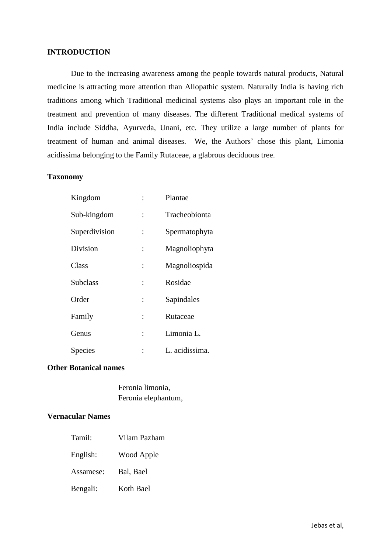### **INTRODUCTION**

Due to the increasing awareness among the people towards natural products, Natural medicine is attracting more attention than Allopathic system. Naturally India is having rich traditions among which Traditional medicinal systems also plays an important role in the treatment and prevention of many diseases. The different Traditional medical systems of India include Siddha, Ayurveda, Unani, etc. They utilize a large number of plants for treatment of human and animal diseases. We, the Authors' chose this plant, Limonia acidissima belonging to the Family Rutaceae, a glabrous deciduous tree.

### **Taxonomy**

| Kingdom         |                | Plantae        |
|-----------------|----------------|----------------|
| Sub-kingdom     | $\ddot{\cdot}$ | Tracheobionta  |
| Superdivision   | $\ddot{\cdot}$ | Spermatophyta  |
| Division        | $\ddot{\cdot}$ | Magnoliophyta  |
| Class           | $\ddot{\cdot}$ | Magnoliospida  |
| <b>Subclass</b> | $\ddot{\cdot}$ | Rosidae        |
| Order           | $\ddot{\cdot}$ | Sapindales     |
| Family          | $\ddot{\cdot}$ | Rutaceae       |
| Genus           | $\ddot{\cdot}$ | Limonia L.     |
| Species         |                | L. acidissima. |

#### **Other Botanical names**

Feronia limonia, Feronia elephantum,

## **Vernacular Names**

| Tamil:    | Vilam Pazham |
|-----------|--------------|
| English:  | Wood Apple   |
| Assamese: | Bal, Bael    |
| Bengali:  | Koth Bael    |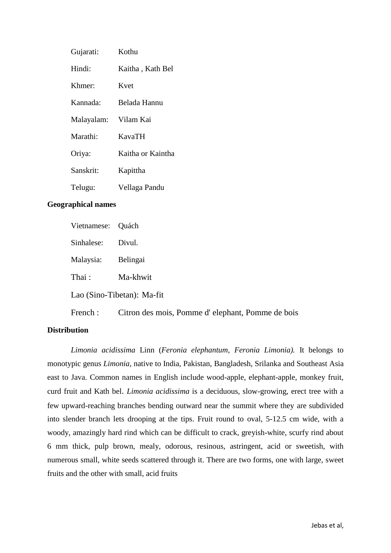| Gujarati:  | Kothu             |
|------------|-------------------|
| Hindi:     | Kaitha, Kath Bel  |
| Khmer:     | Kvet              |
| Kannada:   | Belada Hannu      |
| Malayalam: | Vilam Kai         |
| Marathi:   | <b>KavaTH</b>     |
| Oriya:     | Kaitha or Kaintha |
| Sanskrit:  | Kapittha          |
| Telugu:    | Vellaga Pandu     |

## **Geographical names**

| Vietnamese: Quách          |                                                  |  |  |
|----------------------------|--------------------------------------------------|--|--|
| Sinhalese:                 | Divul.                                           |  |  |
| Malaysia:                  | Belingai                                         |  |  |
| Thai:                      | Ma-khwit                                         |  |  |
| Lao (Sino-Tibetan): Ma-fit |                                                  |  |  |
| French:                    | Citron des mois, Pomme d'elephant, Pomme de bois |  |  |

## **Distribution**

*Limonia acidissima* Linn (*Feronia elephantum, Feronia Limonia).* It belongs to monotypic genus *Limonia*, native to India, Pakistan, Bangladesh, Srilanka and Southeast Asia east to Java. Common names in English include wood-apple, elephant-apple, monkey fruit, curd fruit and Kath bel. *Limonia acidissima* is a deciduous, slow-growing, erect tree with a few upward-reaching branches bending outward near the summit where they are subdivided into slender branch lets drooping at the tips. Fruit round to oval, 5-12.5 cm wide, with a woody, amazingly hard rind which can be difficult to crack, greyish-white, scurfy rind about 6 mm thick, pulp brown, mealy, odorous, resinous, astringent, acid or sweetish, with numerous small, white seeds scattered through it. There are two forms, one with large, sweet fruits and the other with small, acid fruits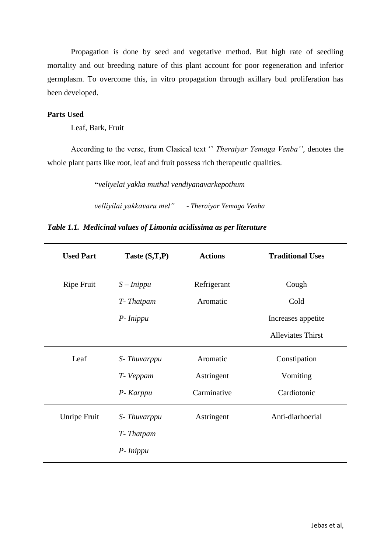Propagation is done by seed and vegetative method. But high rate of seedling mortality and out breeding nature of this plant account for poor regeneration and inferior germplasm. To overcome this, in vitro propagation through axillary bud proliferation has been developed.

## **Parts Used**

Leaf, Bark, Fruit

According to the verse, from Clasical text '' *Theraiyar Yemaga Venba'',* denotes the whole plant parts like root, leaf and fruit possess rich therapeutic qualities.

**"***veliyelai yakka muthal vendiyanavarkepothum*

*velliyilai yakkavaru mel"* - *Theraiyar Yemaga Venba*

|  |  |  |  | Table 1.1. Medicinal values of Limonia acidissima as per literature |  |  |
|--|--|--|--|---------------------------------------------------------------------|--|--|
|--|--|--|--|---------------------------------------------------------------------|--|--|

| <b>Used Part</b>  | Taste (S,T,P) | <b>Actions</b> | <b>Traditional Uses</b>  |
|-------------------|---------------|----------------|--------------------------|
| <b>Ripe Fruit</b> | $S - Inippu$  | Refrigerant    | Cough                    |
|                   | T-Thatpam     | Aromatic       | Cold                     |
|                   | P-Inippu      |                | Increases appetite       |
|                   |               |                | <b>Alleviates Thirst</b> |
| Leaf              | S-Thuvarppu   | Aromatic       | Constipation             |
|                   | T-Veppam      | Astringent     | Vomiting                 |
|                   | P- Karppu     | Carminative    | Cardiotonic              |
| Unripe Fruit      | S-Thuvarppu   | Astringent     | Anti-diarhoerial         |
|                   | T-Thatpam     |                |                          |
|                   | P-Inippu      |                |                          |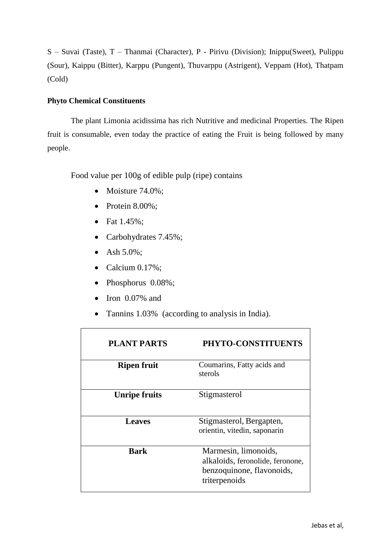S – Suvai (Taste), T – Thanmai (Character), P - Pirivu (Division); Inippu(Sweet), Pulippu (Sour), Kaippu (Bitter), Karppu (Pungent), Thuvarppu (Astrigent), Veppam (Hot), Thatpam (Cold)

# **Phyto Chemical Constituents**

The plant Limonia acidissima has rich Nutritive and medicinal Properties. The Ripen fruit is consumable, even today the practice of eating the Fruit is being followed by many people.

Food value per 100g of edible pulp (ripe) contains

- Moisture  $74.0\%$ ;
- Protein  $8.00\%$ :
- Fat 1.45%;
- Carbohydrates 7.45%;
- Ash 5.0%;
- Calcium  $0.17\%$ ;
- Phosphorus 0.08%;
- $\bullet$  Iron 0.07% and
- Tannins 1.03% (according to analysis in India).

| <b>PLANT PARTS</b>   | PHYTO-CONSTITUENTS                                                                                     |
|----------------------|--------------------------------------------------------------------------------------------------------|
| <b>Ripen fruit</b>   | Coumarins, Fatty acids and<br>sterols                                                                  |
| <b>Unripe fruits</b> | Stigmasterol                                                                                           |
| <b>Leaves</b>        | Stigmasterol, Bergapten,<br>orientin, vitedin, saponarin                                               |
| <b>Bark</b>          | Marmesin, limonoids,<br>alkaloids, feronolide, feronone,<br>benzoquinone, flavonoids,<br>triterpenoids |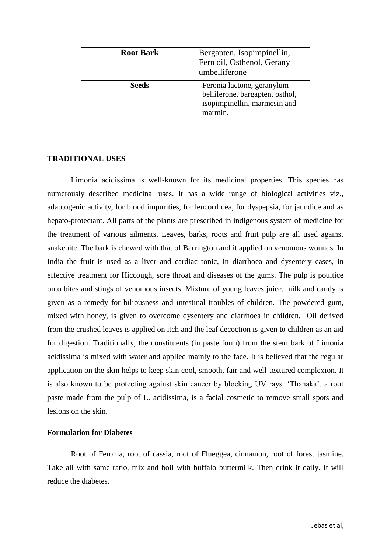| <b>Root Bark</b> | Bergapten, Isopimpinellin,<br>Fern oil, Osthenol, Geranyl<br>umbelliferone                               |
|------------------|----------------------------------------------------------------------------------------------------------|
| <b>Seeds</b>     | Feronia lactone, geranylum<br>belliferone, bargapten, osthol,<br>isopimpinellin, marmesin and<br>marmin. |

#### **TRADITIONAL USES**

Limonia acidissima is well-known for its medicinal properties. This species has numerously described medicinal uses. It has a wide range of biological activities viz., adaptogenic activity, for blood impurities, for leucorrhoea, for dyspepsia, for jaundice and as hepato-protectant. All parts of the plants are prescribed in indigenous system of medicine for the treatment of various ailments. Leaves, barks, roots and fruit pulp are all used against snakebite. The bark is chewed with that of Barrington and it applied on venomous wounds. In India the fruit is used as a liver and cardiac tonic, in diarrhoea and dysentery cases, in effective treatment for Hiccough, sore throat and diseases of the gums. The pulp is poultice onto bites and stings of venomous insects. Mixture of young leaves juice, milk and candy is given as a remedy for biliousness and intestinal troubles of children. The powdered gum, mixed with honey, is given to overcome dysentery and diarrhoea in children. Oil derived from the crushed leaves is applied on itch and the leaf decoction is given to children as an aid for digestion. Traditionally, the constituents (in paste form) from the stem bark of Limonia acidissima is mixed with water and applied mainly to the face. It is believed that the regular application on the skin helps to keep skin cool, smooth, fair and well-textured complexion. It is also known to be protecting against skin cancer by blocking UV rays. 'Thanaka', a root paste made from the pulp of L. acidissima, is a facial cosmetic to remove small spots and lesions on the skin.

#### **Formulation for Diabetes**

Root of Feronia, root of cassia, root of Flueggea, cinnamon, root of forest jasmine. Take all with same ratio, mix and boil with buffalo buttermilk. Then drink it daily. It will reduce the diabetes.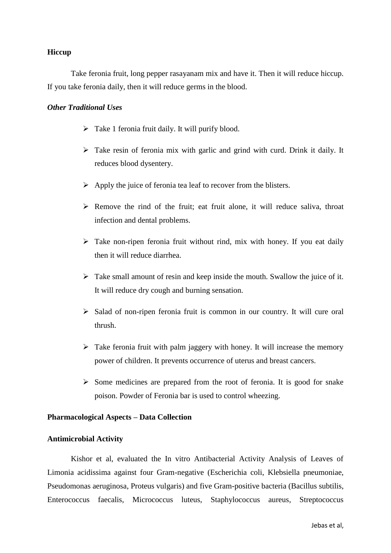#### **Hiccup**

Take feronia fruit, long pepper rasayanam mix and have it. Then it will reduce hiccup. If you take feronia daily, then it will reduce germs in the blood.

#### *Other Traditional Uses*

- $\triangleright$  Take 1 feronia fruit daily. It will purify blood.
- Take resin of feronia mix with garlic and grind with curd. Drink it daily. It reduces blood dysentery.
- $\triangleright$  Apply the juice of feronia tea leaf to recover from the blisters.
- $\triangleright$  Remove the rind of the fruit; eat fruit alone, it will reduce saliva, throat infection and dental problems.
- $\triangleright$  Take non-ripen feronia fruit without rind, mix with honey. If you eat daily then it will reduce diarrhea.
- $\triangleright$  Take small amount of resin and keep inside the mouth. Swallow the juice of it. It will reduce dry cough and burning sensation.
- $\triangleright$  Salad of non-ripen feronia fruit is common in our country. It will cure oral thrush.
- $\triangleright$  Take feronia fruit with palm jaggery with honey. It will increase the memory power of children. It prevents occurrence of uterus and breast cancers.
- $\triangleright$  Some medicines are prepared from the root of feronia. It is good for snake poison. Powder of Feronia bar is used to control wheezing.

#### **Pharmacological Aspects – Data Collection**

#### **Antimicrobial Activity**

Kishor et al, evaluated the In vitro Antibacterial Activity Analysis of Leaves of Limonia acidissima against four Gram-negative (Escherichia coli, Klebsiella pneumoniae, Pseudomonas aeruginosa, Proteus vulgaris) and five Gram-positive bacteria (Bacillus subtilis, Enterococcus faecalis, Micrococcus luteus, Staphylococcus aureus, Streptococcus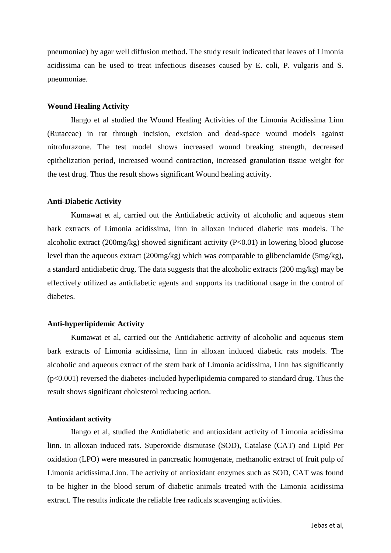pneumoniae) by agar well diffusion method**.** The study result indicated that leaves of Limonia acidissima can be used to treat infectious diseases caused by E. coli, P. vulgaris and S. pneumoniae.

#### **Wound Healing Activity**

Ilango et al studied the Wound Healing Activities of the Limonia Acidissima Linn (Rutaceae) in rat through incision, excision and dead-space wound models against nitrofurazone. The test model shows increased wound breaking strength, decreased epithelization period, increased wound contraction, increased granulation tissue weight for the test drug. Thus the result shows significant Wound healing activity.

#### **Anti-Diabetic Activity**

Kumawat et al, carried out the Antidiabetic activity of alcoholic and aqueous stem bark extracts of Limonia acidissima, linn in alloxan induced diabetic rats models. The alcoholic extract (200mg/kg) showed significant activity (P<0.01) in lowering blood glucose level than the aqueous extract (200mg/kg) which was comparable to glibenclamide (5mg/kg), a standard antidiabetic drug. The data suggests that the alcoholic extracts (200 mg/kg) may be effectively utilized as antidiabetic agents and supports its traditional usage in the control of diabetes.

#### **Anti-hyperlipidemic Activity**

Kumawat et al, carried out the Antidiabetic activity of alcoholic and aqueous stem bark extracts of Limonia acidissima, linn in alloxan induced diabetic rats models. The alcoholic and aqueous extract of the stem bark of Limonia acidissima, Linn has significantly  $(p<0.001)$  reversed the diabetes-included hyperlipidemia compared to standard drug. Thus the result shows significant cholesterol reducing action.

#### **Antioxidant activity**

Ilango et al, studied the Antidiabetic and antioxidant activity of Limonia acidissima linn. in alloxan induced rats. Superoxide dismutase (SOD), Catalase (CAT) and Lipid Per oxidation (LPO) were measured in pancreatic homogenate, methanolic extract of fruit pulp of Limonia acidissima.Linn. The activity of antioxidant enzymes such as SOD, CAT was found to be higher in the blood serum of diabetic animals treated with the Limonia acidissima extract. The results indicate the reliable free radicals scavenging activities.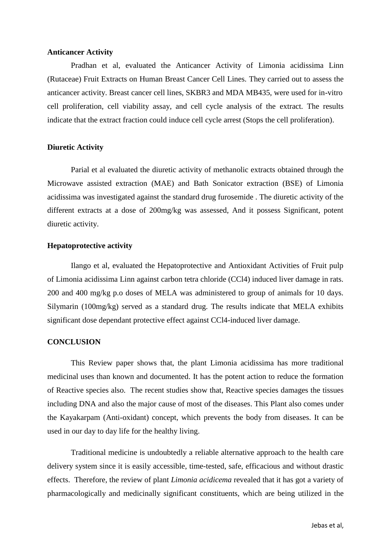#### **Anticancer Activity**

Pradhan et al, evaluated the Anticancer Activity of Limonia acidissima Linn (Rutaceae) Fruit Extracts on Human Breast Cancer Cell Lines. They carried out to assess the anticancer activity. Breast cancer cell lines, SKBR3 and MDA MB435, were used for in-vitro cell proliferation, cell viability assay, and cell cycle analysis of the extract. The results indicate that the extract fraction could induce cell cycle arrest (Stops the cell proliferation).

#### **Diuretic Activity**

Parial et al evaluated the diuretic activity of methanolic extracts obtained through the Microwave assisted extraction (MAE) and Bath Sonicator extraction (BSE) of Limonia acidissima was investigated against the standard drug furosemide . The diuretic activity of the different extracts at a dose of 200mg/kg was assessed, And it possess Significant, potent diuretic activity.

#### **Hepatoprotective activity**

Ilango et al, evaluated the Hepatoprotective and Antioxidant Activities of Fruit pulp of Limonia acidissima Linn against carbon tetra chloride (CCl4) induced liver damage in rats. 200 and 400 mg/kg p.o doses of MELA was administered to group of animals for 10 days. Silymarin (100mg/kg) served as a standard drug. The results indicate that MELA exhibits significant dose dependant protective effect against CCl4-induced liver damage.

#### **CONCLUSION**

This Review paper shows that, the plant Limonia acidissima has more traditional medicinal uses than known and documented. It has the potent action to reduce the formation of Reactive species also. The recent studies show that, Reactive species damages the tissues including DNA and also the major cause of most of the diseases. This Plant also comes under the Kayakarpam (Anti-oxidant) concept, which prevents the body from diseases. It can be used in our day to day life for the healthy living.

Traditional medicine is undoubtedly a reliable alternative approach to the health care delivery system since it is easily accessible, time-tested, safe, efficacious and without drastic effects. Therefore, the review of plant *Limonia acidicema* revealed that it has got a variety of pharmacologically and medicinally significant constituents, which are being utilized in the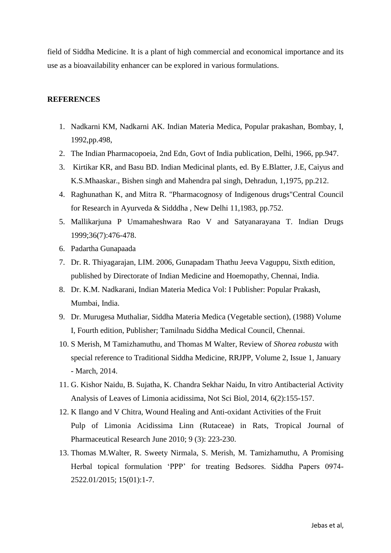field of Siddha Medicine. It is a plant of high commercial and economical importance and its use as a bioavailability enhancer can be explored in various formulations.

#### **REFERENCES**

- 1. Nadkarni KM, Nadkarni AK. Indian Materia Medica, Popular prakashan, Bombay, I, 1992,pp.498,
- 2. The Indian Pharmacopoeia, 2nd Edn, Govt of India publication, Delhi, 1966, pp.947.
- 3. Kirtikar KR, and Basu BD. Indian Medicinal plants, ed. By E.Blatter, J.E, Caiyus and K.S.Mhaaskar., Bishen singh and Mahendra pal singh, Dehradun, 1,1975, pp.212.
- 4. Raghunathan K, and Mitra R. "Pharmacognosy of Indigenous drugs"Central Council for Research in Ayurveda & Sidddha , New Delhi 11,1983, pp.752.
- 5. Mallikarjuna P Umamaheshwara Rao V and Satyanarayana T. Indian Drugs 1999;36(7):476-478.
- 6. Padartha Gunapaada
- 7. Dr. R. Thiyagarajan, LIM. 2006, Gunapadam Thathu Jeeva Vaguppu, Sixth edition, published by Directorate of Indian Medicine and Hoemopathy, Chennai, India.
- 8. Dr. K.M. Nadkarani, Indian Materia Medica Vol: I Publisher: Popular Prakash, Mumbai, India.
- 9. Dr. Murugesa Muthaliar, Siddha Materia Medica (Vegetable section), (1988) Volume I, Fourth edition, Publisher; Tamilnadu Siddha Medical Council, Chennai.
- 10. S Merish, M Tamizhamuthu, and Thomas M Walter, Review of *Shorea robusta* with special reference to Traditional Siddha Medicine, RRJPP, Volume 2, Issue 1, January - March, 2014.
- 11. G. Kishor Naidu, B. Sujatha, K. Chandra Sekhar Naidu, In vitro Antibacterial Activity Analysis of Leaves of Limonia acidissima, Not Sci Biol, 2014, 6(2):155-157.
- 12. K Ilango and V Chitra, Wound Healing and Anti-oxidant Activities of the Fruit Pulp of Limonia Acidissima Linn (Rutaceae) in Rats, Tropical Journal of Pharmaceutical Research June 2010; 9 (3): 223-230.
- 13. Thomas M.Walter, R. Sweety Nirmala, S. Merish, M. Tamizhamuthu, A Promising Herbal topical formulation 'PPP' for treating Bedsores. Siddha Papers 0974- 2522.01/2015; 15(01):1-7.